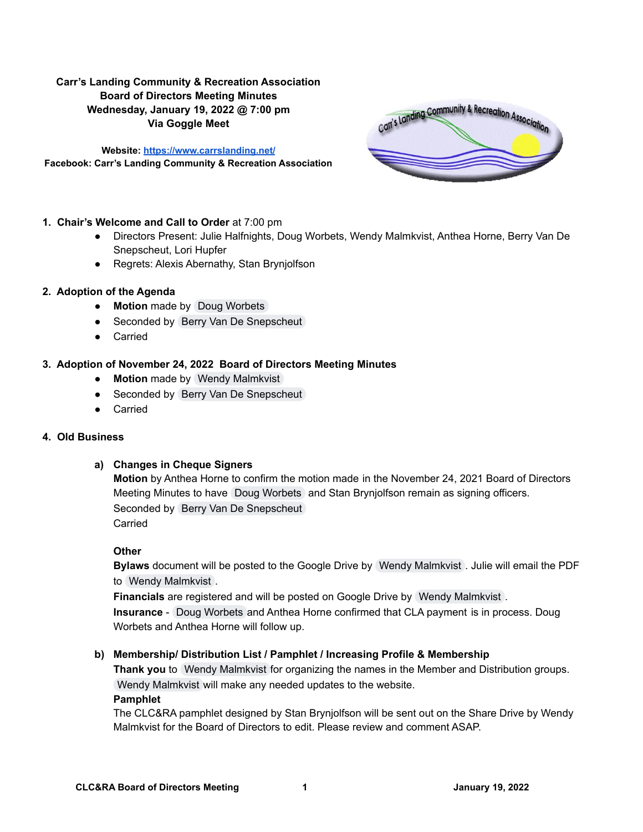# **Carr's Landing Community & Recreation Association Board of Directors Meeting Minutes Wednesday, January 19, 2022 @ 7:00 pm Via Goggle Meet**

**Website: <https://www.carrslanding.net/> Facebook: Carr's Landing Community & Recreation Association**



### **1. Chair's Welcome and Call to Order** at 7:00 pm

- Directors Present: Julie Halfnights, Doug Worbets, Wendy Malmkvist, Anthea Horne, Berry Van De Snepscheut, Lori Hupfer
- Regrets: Alexis Abernathy, Stan Brynjolfson

### **2. Adoption of the Agenda**

- **● Motion** made by Doug [Worbets](mailto:doug@carrslanding.net)
- Seconded by Berry Van De [Snepscheut](mailto:berry_ine@yahoo.ca)
- Carried

## **3. Adoption of November 24, 2022 Board of Directors Meeting Minutes**

- **● Motion** made by Wendy [Malmkvist](mailto:wendy@carrslanding.net)
- Seconded by Berry Van De [Snepscheut](mailto:berry_ine@yahoo.ca)
- Carried

# **4. Old Business**

# **a) Changes in Cheque Signers**

**Motion** by Anthea Horne to confirm the motion made in the November 24, 2021 Board of Directors Meeting Minutes to have Doug [Worbets](mailto:doug@carrslanding.net) and Stan Brynjolfson remain as signing officers. Seconded by Berry Van De [Snepscheut](mailto:berry_ine@yahoo.ca) Carried

### **Other**

**Bylaws** document will be posted to the Google Drive by Wendy [Malmkvist](mailto:wendy@carrslanding.net) . Julie will email the PDF to Wendy [Malmkvist](mailto:wendy@carrslanding.net) .

**Financials** are registered and will be posted on Google Drive by Wendy [Malmkvist](mailto:wendy@carrslanding.net) . **Insurance** - Doug [Worbets](mailto:doug@carrslanding.net) and Anthea Horne confirmed that CLA payment is in process. Doug Worbets and Anthea Horne will follow up.

# **b) Membership/ Distribution List / Pamphlet / Increasing Profile & Membership**

**Thank you** to Wendy [Malmkvist](mailto:wendy@carrslanding.net) for organizing the names in the Member and Distribution groups. Wendy [Malmkvist](mailto:wendy@carrslanding.net) will make any needed updates to the website.

### **Pamphlet**

The CLC&RA pamphlet designed by Stan Brynjolfson will be sent out on the Share Drive by Wendy Malmkvist for the Board of Directors to edit. Please review and comment ASAP.